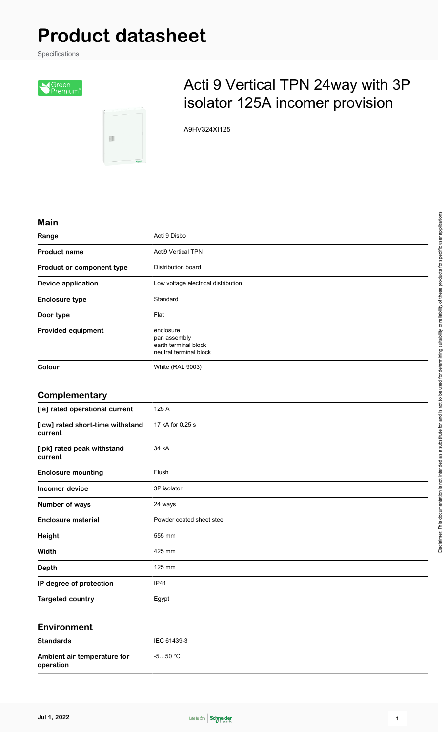# **Product datasheet**

Specifications



团

## Acti 9 Vertical TPN 24way with 3P isolator 125A incomer provision

A9HV324XI125

#### **Main**

| ,,,,,,,                   |                                                                             |
|---------------------------|-----------------------------------------------------------------------------|
| Range                     | Acti 9 Disbo                                                                |
| <b>Product name</b>       | <b>Acti9 Vertical TPN</b>                                                   |
| Product or component type | <b>Distribution board</b>                                                   |
| Device application        | Low voltage electrical distribution                                         |
| <b>Enclosure type</b>     | Standard                                                                    |
| Door type                 | Flat                                                                        |
| Provided equipment        | enclosure<br>pan assembly<br>earth terminal block<br>neutral terminal block |
| Colour                    | <b>White (RAL 9003)</b>                                                     |
|                           |                                                                             |

#### **Complementary**

| [le] rated operational current              | 125 A                     |
|---------------------------------------------|---------------------------|
| [Icw] rated short-time withstand<br>current | 17 kA for 0.25 s          |
| [lpk] rated peak withstand<br>current       | 34 kA                     |
| <b>Enclosure mounting</b>                   | Flush                     |
| Incomer device                              | 3P isolator               |
| Number of ways                              | 24 ways                   |
| <b>Enclosure material</b>                   | Powder coated sheet steel |
| Height                                      | 555 mm                    |
| Width                                       | 425 mm                    |
| <b>Depth</b>                                | 125 mm                    |
| IP degree of protection                     | <b>IP41</b>               |
| <b>Targeted country</b>                     | Egypt                     |

#### **Environment**

| <b>Standards</b>                         | IEC 61439-3 |
|------------------------------------------|-------------|
| Ambient air temperature for<br>operation | -5…50 °C    |